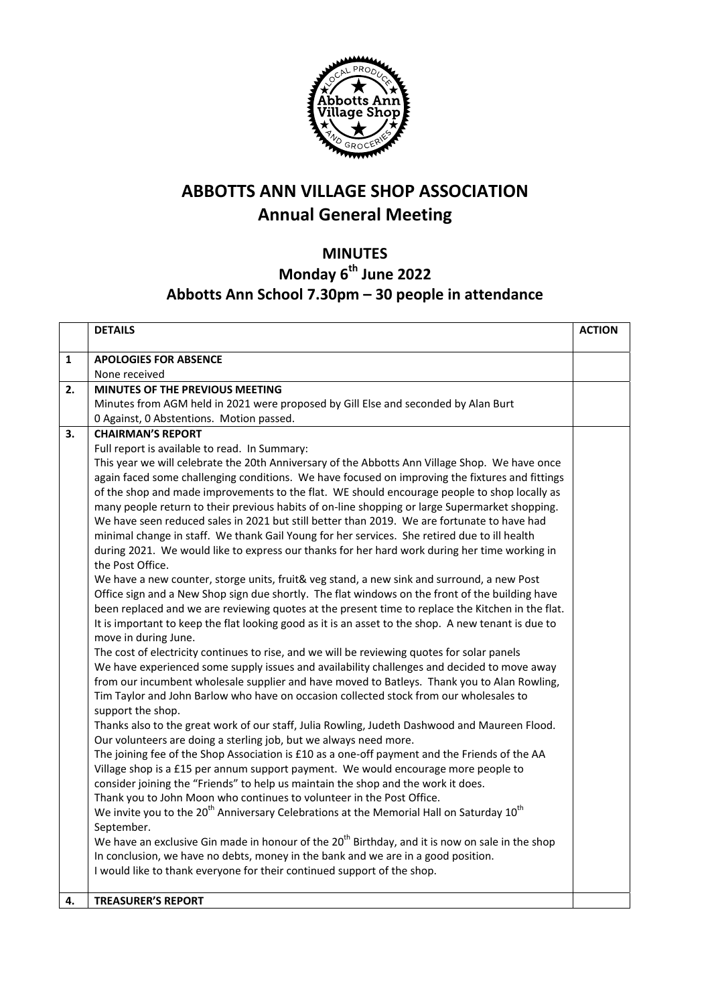

## **ABBOTTS ANN VILLAGE SHOP ASSOCIATION Annual General Meeting**

## **MINUTES Monday 6th June 2022 Abbotts Ann School 7.30pm – 30 people in attendance**

|    | <b>DETAILS</b>                                                                                                                                                                                           | <b>ACTION</b> |
|----|----------------------------------------------------------------------------------------------------------------------------------------------------------------------------------------------------------|---------------|
| 1  | <b>APOLOGIES FOR ABSENCE</b>                                                                                                                                                                             |               |
|    | None received                                                                                                                                                                                            |               |
| 2. | <b>MINUTES OF THE PREVIOUS MEETING</b>                                                                                                                                                                   |               |
|    | Minutes from AGM held in 2021 were proposed by Gill Else and seconded by Alan Burt                                                                                                                       |               |
|    | 0 Against, 0 Abstentions. Motion passed.                                                                                                                                                                 |               |
| 3. | <b>CHAIRMAN'S REPORT</b>                                                                                                                                                                                 |               |
|    | Full report is available to read. In Summary:                                                                                                                                                            |               |
|    | This year we will celebrate the 20th Anniversary of the Abbotts Ann Village Shop. We have once                                                                                                           |               |
|    | again faced some challenging conditions. We have focused on improving the fixtures and fittings                                                                                                          |               |
|    | of the shop and made improvements to the flat. WE should encourage people to shop locally as                                                                                                             |               |
|    | many people return to their previous habits of on-line shopping or large Supermarket shopping.                                                                                                           |               |
|    | We have seen reduced sales in 2021 but still better than 2019. We are fortunate to have had                                                                                                              |               |
|    | minimal change in staff. We thank Gail Young for her services. She retired due to ill health                                                                                                             |               |
|    | during 2021. We would like to express our thanks for her hard work during her time working in                                                                                                            |               |
|    | the Post Office.                                                                                                                                                                                         |               |
|    | We have a new counter, storge units, fruit& veg stand, a new sink and surround, a new Post                                                                                                               |               |
|    | Office sign and a New Shop sign due shortly. The flat windows on the front of the building have                                                                                                          |               |
|    | been replaced and we are reviewing quotes at the present time to replace the Kitchen in the flat.<br>It is important to keep the flat looking good as it is an asset to the shop. A new tenant is due to |               |
|    | move in during June.                                                                                                                                                                                     |               |
|    | The cost of electricity continues to rise, and we will be reviewing quotes for solar panels                                                                                                              |               |
|    | We have experienced some supply issues and availability challenges and decided to move away                                                                                                              |               |
|    | from our incumbent wholesale supplier and have moved to Batleys. Thank you to Alan Rowling,                                                                                                              |               |
|    | Tim Taylor and John Barlow who have on occasion collected stock from our wholesales to                                                                                                                   |               |
|    | support the shop.                                                                                                                                                                                        |               |
|    | Thanks also to the great work of our staff, Julia Rowling, Judeth Dashwood and Maureen Flood.                                                                                                            |               |
|    | Our volunteers are doing a sterling job, but we always need more.                                                                                                                                        |               |
|    | The joining fee of the Shop Association is £10 as a one-off payment and the Friends of the AA                                                                                                            |               |
|    | Village shop is a £15 per annum support payment. We would encourage more people to                                                                                                                       |               |
|    | consider joining the "Friends" to help us maintain the shop and the work it does.                                                                                                                        |               |
|    | Thank you to John Moon who continues to volunteer in the Post Office.                                                                                                                                    |               |
|    | We invite you to the 20 <sup>th</sup> Anniversary Celebrations at the Memorial Hall on Saturday 10 <sup>th</sup>                                                                                         |               |
|    | September.                                                                                                                                                                                               |               |
|    | We have an exclusive Gin made in honour of the 20 <sup>th</sup> Birthday, and it is now on sale in the shop                                                                                              |               |
|    | In conclusion, we have no debts, money in the bank and we are in a good position.                                                                                                                        |               |
|    | I would like to thank everyone for their continued support of the shop.                                                                                                                                  |               |
| 4. | <b>TREASURER'S REPORT</b>                                                                                                                                                                                |               |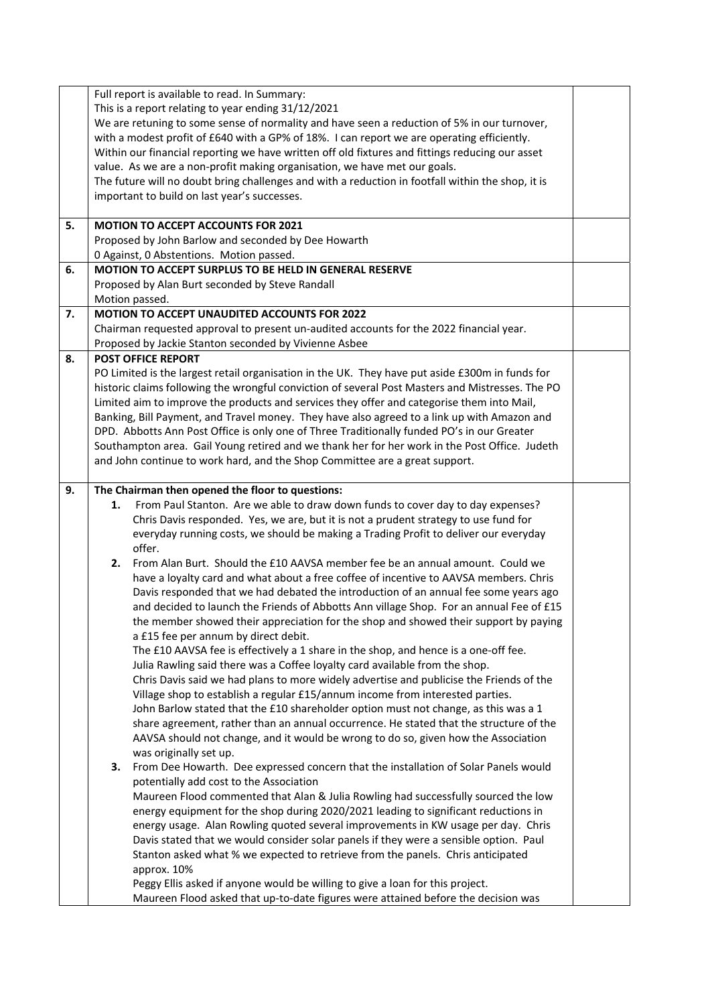|    | Full report is available to read. In Summary:                                                     |  |
|----|---------------------------------------------------------------------------------------------------|--|
|    | This is a report relating to year ending 31/12/2021                                               |  |
|    | We are retuning to some sense of normality and have seen a reduction of 5% in our turnover,       |  |
|    | with a modest profit of £640 with a GP% of 18%. I can report we are operating efficiently.        |  |
|    | Within our financial reporting we have written off old fixtures and fittings reducing our asset   |  |
|    |                                                                                                   |  |
|    | value. As we are a non-profit making organisation, we have met our goals.                         |  |
|    | The future will no doubt bring challenges and with a reduction in footfall within the shop, it is |  |
|    | important to build on last year's successes.                                                      |  |
|    |                                                                                                   |  |
| 5. | <b>MOTION TO ACCEPT ACCOUNTS FOR 2021</b>                                                         |  |
|    | Proposed by John Barlow and seconded by Dee Howarth                                               |  |
|    | 0 Against, 0 Abstentions. Motion passed.                                                          |  |
| 6. | MOTION TO ACCEPT SURPLUS TO BE HELD IN GENERAL RESERVE                                            |  |
|    | Proposed by Alan Burt seconded by Steve Randall                                                   |  |
|    | Motion passed.                                                                                    |  |
| 7. | MOTION TO ACCEPT UNAUDITED ACCOUNTS FOR 2022                                                      |  |
|    | Chairman requested approval to present un-audited accounts for the 2022 financial year.           |  |
|    | Proposed by Jackie Stanton seconded by Vivienne Asbee                                             |  |
| 8. | <b>POST OFFICE REPORT</b>                                                                         |  |
|    | PO Limited is the largest retail organisation in the UK. They have put aside £300m in funds for   |  |
|    | historic claims following the wrongful conviction of several Post Masters and Mistresses. The PO  |  |
|    | Limited aim to improve the products and services they offer and categorise them into Mail,        |  |
|    | Banking, Bill Payment, and Travel money. They have also agreed to a link up with Amazon and       |  |
|    |                                                                                                   |  |
|    | DPD. Abbotts Ann Post Office is only one of Three Traditionally funded PO's in our Greater        |  |
|    | Southampton area. Gail Young retired and we thank her for her work in the Post Office. Judeth     |  |
|    | and John continue to work hard, and the Shop Committee are a great support.                       |  |
|    |                                                                                                   |  |
| 9. | The Chairman then opened the floor to questions:                                                  |  |
|    | From Paul Stanton. Are we able to draw down funds to cover day to day expenses?<br>1.             |  |
|    | Chris Davis responded. Yes, we are, but it is not a prudent strategy to use fund for              |  |
|    | everyday running costs, we should be making a Trading Profit to deliver our everyday              |  |
|    | offer.                                                                                            |  |
|    | From Alan Burt. Should the £10 AAVSA member fee be an annual amount. Could we<br>2.               |  |
|    | have a loyalty card and what about a free coffee of incentive to AAVSA members. Chris             |  |
|    | Davis responded that we had debated the introduction of an annual fee some years ago              |  |
|    | and decided to launch the Friends of Abbotts Ann village Shop. For an annual Fee of £15           |  |
|    | the member showed their appreciation for the shop and showed their support by paying              |  |
|    | a £15 fee per annum by direct debit.                                                              |  |
|    | The £10 AAVSA fee is effectively a 1 share in the shop, and hence is a one-off fee.               |  |
|    |                                                                                                   |  |
|    | Julia Rawling said there was a Coffee loyalty card available from the shop.                       |  |
|    | Chris Davis said we had plans to more widely advertise and publicise the Friends of the           |  |
|    | Village shop to establish a regular £15/annum income from interested parties.                     |  |
|    | John Barlow stated that the £10 shareholder option must not change, as this was a 1               |  |
|    | share agreement, rather than an annual occurrence. He stated that the structure of the            |  |
|    | AAVSA should not change, and it would be wrong to do so, given how the Association                |  |
|    | was originally set up.                                                                            |  |
|    | From Dee Howarth. Dee expressed concern that the installation of Solar Panels would<br>3.         |  |
|    | potentially add cost to the Association                                                           |  |
|    | Maureen Flood commented that Alan & Julia Rowling had successfully sourced the low                |  |
|    | energy equipment for the shop during 2020/2021 leading to significant reductions in               |  |
|    | energy usage. Alan Rowling quoted several improvements in KW usage per day. Chris                 |  |
|    | Davis stated that we would consider solar panels if they were a sensible option. Paul             |  |
|    | Stanton asked what % we expected to retrieve from the panels. Chris anticipated                   |  |
|    |                                                                                                   |  |
|    | approx. 10%                                                                                       |  |
|    | Peggy Ellis asked if anyone would be willing to give a loan for this project.                     |  |
|    | Maureen Flood asked that up-to-date figures were attained before the decision was                 |  |